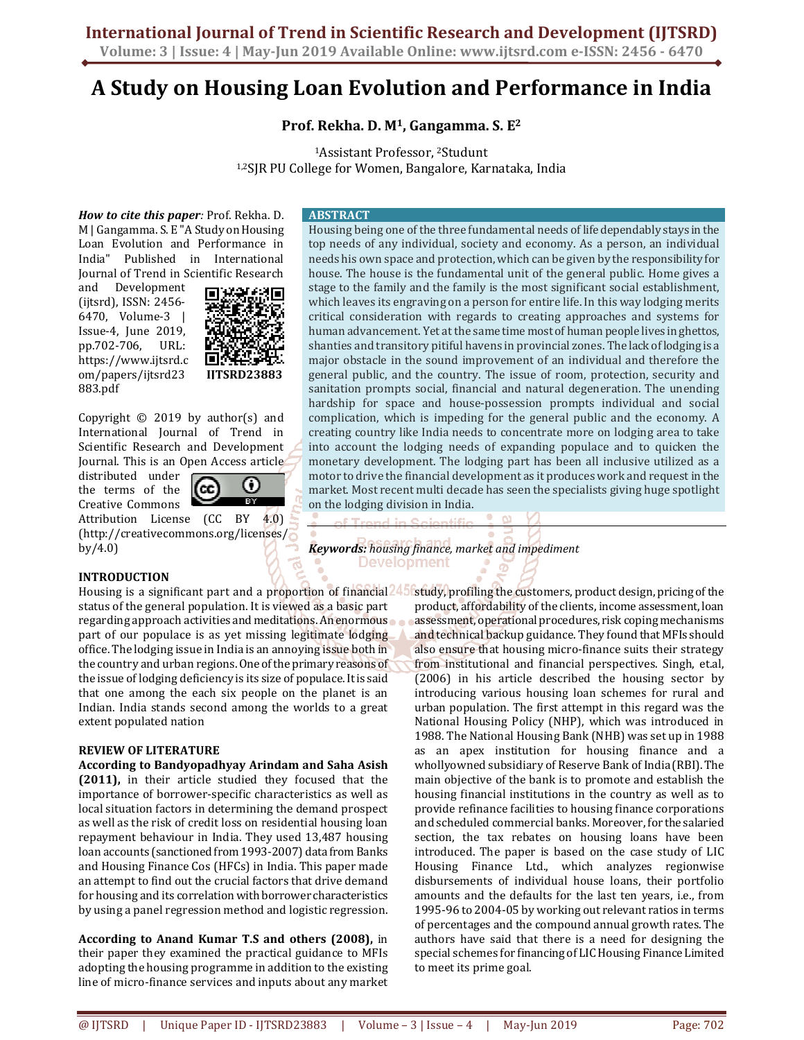# **International Journal of Trend in Scientific Research and Development (IJTSRD)**

**Volume: 3 | Issue: 4 | May-Jun 2019 Available Online: www.ijtsrd.com e-ISSN: 2456 - 6470**

## **A Study on Housing Loan Evolution and Performance in India**

**Prof. Rekha. D. M1, Gangamma. S. E<sup>2</sup>**

<sup>1</sup>Assistant Professor, 2Studunt

1,2SJR PU College for Women, Bangalore, Karnataka, India

*How to cite this paper:* Prof. Rekha. D. M | Gangamma. S. E "A Study on Housing Loan Evolution and Performance in India" Published in International Journal of Trend in Scientific Research

and Development (ijtsrd), ISSN: 2456- 6470, Volume-3 | Issue-4, June 2019, pp.702-706, URL: https://www.ijtsrd.c om/papers/ijtsrd23 883.pdf



Copyright  $\odot$  2019 by author(s) and International Journal of Trend in Scientific Research and Development Journal. This is an Open Access article

distributed under the terms of the Creative Commons



Attribution License (CC BY 4.0) (http://creativecommons.org/licenses/ by/4.0)

#### **INTRODUCTION**

Housing is a significant part and a proportion of financial 245 status of the general population. It is viewed as a basic part regarding approach activities and meditations. An enormous part of our populace is as yet missing legitimate lodging office. The lodging issue in India is an annoying issue both in the country and urban regions. One of the primary reasons of the issue of lodging deficiency is its size of populace. It is said that one among the each six people on the planet is an Indian. India stands second among the worlds to a great extent populated nation

## **REVIEW OF LITERATURE**

**According to Bandyopadhyay Arindam and Saha Asish (2011),** in their article studied they focused that the importance of borrower-specific characteristics as well as local situation factors in determining the demand prospect as well as the risk of credit loss on residential housing loan repayment behaviour in India. They used 13,487 housing loan accounts (sanctioned from 1993-2007) data from Banks and Housing Finance Cos (HFCs) in India. This paper made an attempt to find out the crucial factors that drive demand for housing and its correlation with borrower characteristics by using a panel regression method and logistic regression.

**According to Anand Kumar T.S and others (2008),** in their paper they examined the practical guidance to MFIs adopting the housing programme in addition to the existing line of micro-finance services and inputs about any market

#### **ABSTRACT**

Housing being one of the three fundamental needs of life dependably stays in the top needs of any individual, society and economy. As a person, an individual needs his own space and protection, which can be given by the responsibility for house. The house is the fundamental unit of the general public. Home gives a stage to the family and the family is the most significant social establishment, which leaves its engraving on a person for entire life. In this way lodging merits critical consideration with regards to creating approaches and systems for human advancement. Yet at the same time most of human people lives in ghettos, shanties and transitory pitiful havens in provincial zones. The lack of lodging is a major obstacle in the sound improvement of an individual and therefore the general public, and the country. The issue of room, protection, security and sanitation prompts social, financial and natural degeneration. The unending hardship for space and house-possession prompts individual and social complication, which is impeding for the general public and the economy. A creating country like India needs to concentrate more on lodging area to take into account the lodging needs of expanding populace and to quicken the monetary development. The lodging part has been all inclusive utilized as a motor to drive the financial development as it produces work and request in the market. Most recent multi decade has seen the specialists giving huge spotlight on the lodging division in India.

*Keywords: housing finance, market and impediment*  ō.

> study, profiling the customers, product design, pricing of the product, affordability of the clients, income assessment, loan assessment, operational procedures, risk coping mechanisms and technical backup guidance. They found that MFIs should also ensure that housing micro-finance suits their strategy from institutional and financial perspectives. Singh, et.al, (2006) in his article described the housing sector by introducing various housing loan schemes for rural and urban population. The first attempt in this regard was the National Housing Policy (NHP), which was introduced in 1988. The National Housing Bank (NHB) was set up in 1988 as an apex institution for housing finance and a whollyowned subsidiary of Reserve Bank of India (RBI). The main objective of the bank is to promote and establish the housing financial institutions in the country as well as to provide refinance facilities to housing finance corporations and scheduled commercial banks. Moreover, for the salaried section, the tax rebates on housing loans have been introduced. The paper is based on the case study of LIC Housing Finance Ltd., which analyzes regionwise disbursements of individual house loans, their portfolio amounts and the defaults for the last ten years, i.e., from 1995-96 to 2004-05 by working out relevant ratios in terms of percentages and the compound annual growth rates. The authors have said that there is a need for designing the special schemes for financing of LIC Housing Finance Limited to meet its prime goal.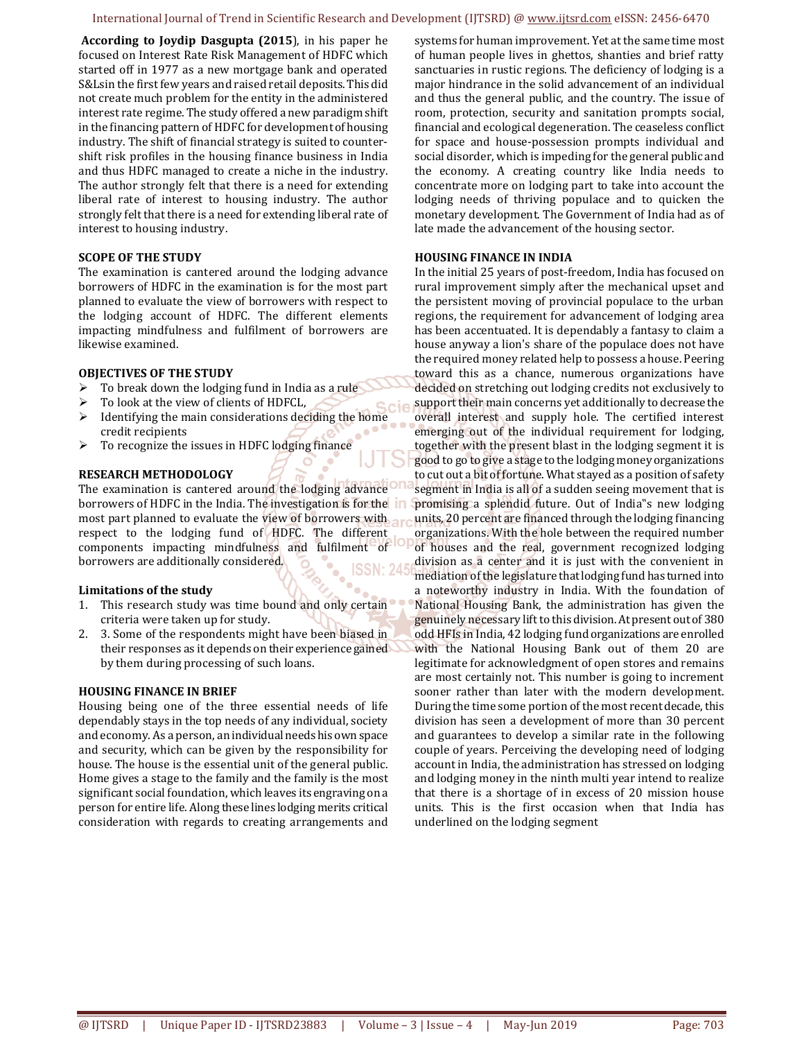#### International Journal of Trend in Scientific Research and Development (IJTSRD) @ www.ijtsrd.com eISSN: 2456-6470

 **According to Joydip Dasgupta (2015**), in his paper he focused on Interest Rate Risk Management of HDFC which started off in 1977 as a new mortgage bank and operated S&Lsin the first few years and raised retail deposits. This did not create much problem for the entity in the administered interest rate regime. The study offered a new paradigm shift in the financing pattern of HDFC for development of housing industry. The shift of financial strategy is suited to countershift risk profiles in the housing finance business in India and thus HDFC managed to create a niche in the industry. The author strongly felt that there is a need for extending liberal rate of interest to housing industry. The author strongly felt that there is a need for extending liberal rate of interest to housing industry.

#### **SCOPE OF THE STUDY**

The examination is cantered around the lodging advance borrowers of HDFC in the examination is for the most part planned to evaluate the view of borrowers with respect to the lodging account of HDFC. The different elements impacting mindfulness and fulfilment of borrowers are likewise examined.

#### **OBJECTIVES OF THE STUDY**

- To break down the lodging fund in India as a rule
- $\triangleright$  To look at the view of clients of HDFCL,
- $\triangleright$  I dentifying the main considerations deciding the home credit recipients
- $\triangleright$  To recognize the issues in HDFC lodging finance

#### **RESEARCH METHODOLOGY**

The examination is cantered around the lodging advance borrowers of HDFC in the India. The investigation is for the most part planned to evaluate the view of borrowers with respect to the lodging fund of HDFC. The different components impacting mindfulness and fulfilment of  $\lvert \circ \rvert$ borrowers are additionally considered. **ISSN: 245** 

#### **Limitations of the study**

- 1. This research study was time bound and only certain criteria were taken up for study.
- 2. 3. Some of the respondents might have been biased in their responses as it depends on their experience gained by them during processing of such loans.

#### **HOUSING FINANCE IN BRIEF**

Housing being one of the three essential needs of life dependably stays in the top needs of any individual, society and economy. As a person, an individual needs his own space and security, which can be given by the responsibility for house. The house is the essential unit of the general public. Home gives a stage to the family and the family is the most significant social foundation, which leaves its engraving on a person for entire life. Along these lines lodging merits critical consideration with regards to creating arrangements and systems for human improvement. Yet at the same time most of human people lives in ghettos, shanties and brief ratty sanctuaries in rustic regions. The deficiency of lodging is a major hindrance in the solid advancement of an individual and thus the general public, and the country. The issue of room, protection, security and sanitation prompts social, financial and ecological degeneration. The ceaseless conflict for space and house-possession prompts individual and social disorder, which is impeding for the general public and the economy. A creating country like India needs to concentrate more on lodging part to take into account the lodging needs of thriving populace and to quicken the monetary development. The Government of India had as of late made the advancement of the housing sector.

#### **HOUSING FINANCE IN INDIA**

In the initial 25 years of post-freedom, India has focused on rural improvement simply after the mechanical upset and the persistent moving of provincial populace to the urban regions, the requirement for advancement of lodging area has been accentuated. It is dependably a fantasy to claim a house anyway a lion's share of the populace does not have the required money related help to possess a house. Peering toward this as a chance, numerous organizations have decided on stretching out lodging credits not exclusively to support their main concerns yet additionally to decrease the overall interest and supply hole. The certified interest emerging out of the individual requirement for lodging, together with the present blast in the lodging segment it is good to go to give a stage to the lodging money organizations to cut out a bit of fortune. What stayed as a position of safety segment in India is all of a sudden seeing movement that is promising a splendid future. Out of India"s new lodging units, 20 percent are financed through the lodging financing organizations. With the hole between the required number of houses and the real, government recognized lodging division as a center and it is just with the convenient in mediation of the legislature that lodging fund has turned into a noteworthy industry in India. With the foundation of National Housing Bank, the administration has given the genuinely necessary lift to this division. At present out of 380 odd HFIs in India, 42 lodging fund organizations are enrolled with the National Housing Bank out of them 20 are legitimate for acknowledgment of open stores and remains are most certainly not. This number is going to increment sooner rather than later with the modern development. During the time some portion of the most recent decade, this division has seen a development of more than 30 percent and guarantees to develop a similar rate in the following couple of years. Perceiving the developing need of lodging account in India, the administration has stressed on lodging and lodging money in the ninth multi year intend to realize that there is a shortage of in excess of 20 mission house units. This is the first occasion when that India has underlined on the lodging segment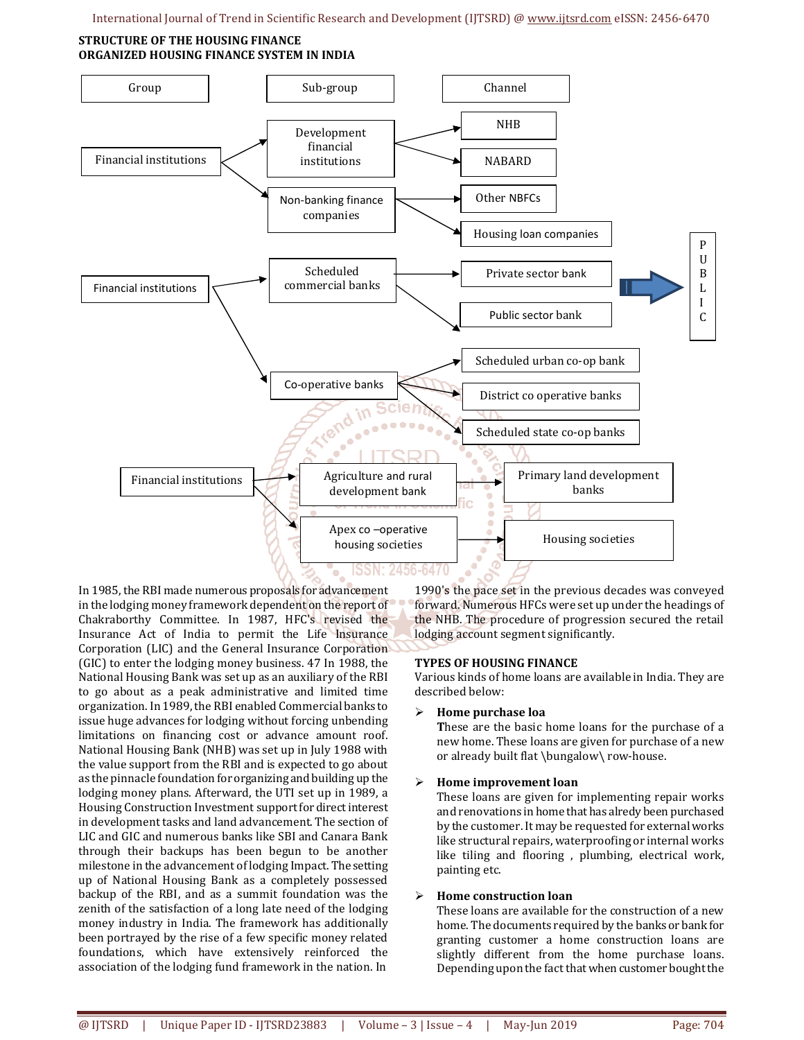#### **STRUCTURE OF THE HOUSING FINANCE ORGANIZED HOUSING FINANCE SYSTEM IN INDIA**



In 1985, the RBI made numerous proposals for advancement in the lodging money framework dependent on the report of Chakraborthy Committee. In 1987, HFC's revised the Insurance Act of India to permit the Life Insurance Corporation (LIC) and the General Insurance Corporation (GIC) to enter the lodging money business. 47 In 1988, the National Housing Bank was set up as an auxiliary of the RBI to go about as a peak administrative and limited time organization. In 1989, the RBI enabled Commercial banks to issue huge advances for lodging without forcing unbending limitations on financing cost or advance amount roof. National Housing Bank (NHB) was set up in July 1988 with the value support from the RBI and is expected to go about as the pinnacle foundation for organizing and building up the lodging money plans. Afterward, the UTI set up in 1989, a Housing Construction Investment support for direct interest in development tasks and land advancement. The section of LIC and GIC and numerous banks like SBI and Canara Bank through their backups has been begun to be another milestone in the advancement of lodging Impact. The setting up of National Housing Bank as a completely possessed backup of the RBI, and as a summit foundation was the zenith of the satisfaction of a long late need of the lodging money industry in India. The framework has additionally been portrayed by the rise of a few specific money related foundations, which have extensively reinforced the association of the lodging fund framework in the nation. In

1990's the pace set in the previous decades was conveyed forward. Numerous HFCs were set up under the headings of the NHB. The procedure of progression secured the retail lodging account segment significantly.

## **TYPES OF HOUSING FINANCE**

Various kinds of home loans are available in India. They are described below:

**Home purchase loa** 

**T**hese are the basic home loans for the purchase of a new home. These loans are given for purchase of a new or already built flat \bungalow\ row-house.

## **Home improvement loan**

These loans are given for implementing repair works and renovations in home that has alredy been purchased by the customer. It may be requested for external works like structural repairs, waterproofing or internal works like tiling and flooring , plumbing, electrical work, painting etc.

#### **Home construction loan**

These loans are available for the construction of a new home. The documents required by the banks or bank for granting customer a home construction loans are slightly different from the home purchase loans. Depending upon the fact that when customer bought the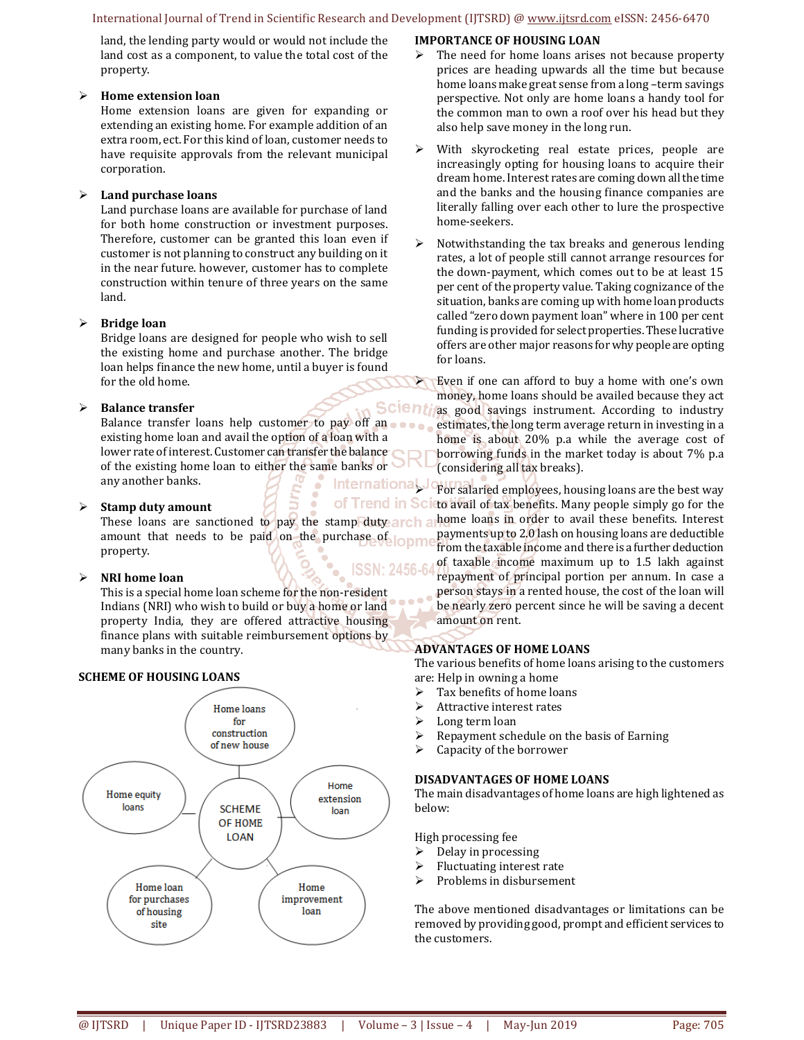#### International Journal of Trend in Scientific Research and Development (IJTSRD) @ www.ijtsrd.com eISSN: 2456-6470

land, the lending party would or would not include the land cost as a component, to value the total cost of the property.

#### **Home extension loan**

Home extension loans are given for expanding or extending an existing home. For example addition of an extra room, ect. For this kind of loan, customer needs to have requisite approvals from the relevant municipal corporation.

## **Land purchase loans**

Land purchase loans are available for purchase of land for both home construction or investment purposes. Therefore, customer can be granted this loan even if customer is not planning to construct any building on it in the near future. however, customer has to complete construction within tenure of three years on the same land.

## **Bridge loan**

Bridge loans are designed for people who wish to sell the existing home and purchase another. The bridge loan helps finance the new home, until a buyer is found for the old home.

## **Balance transfer**

Balance transfer loans help customer to pay off an existing home loan and avail the option of a loan with a lower rate of interest. Customer can transfer the balance of the existing home loan to either the same banks or any another banks.

## **Stamp duty amount**

amount that needs to be paid on the purchase of conne property.

## **NRI home loan**

This is a special home loan scheme for the non-resident Indians (NRI) who wish to build or buy a home or land property India, they are offered attractive housing finance plans with suitable reimbursement options by many banks in the country.

## **SCHEME OF HOUSING LOANS**



## **IMPORTANCE OF HOUSING LOAN**

- The need for home loans arises not because property prices are heading upwards all the time but because home loans make great sense from a long –term savings perspective. Not only are home loans a handy tool for the common man to own a roof over his head but they also help save money in the long run.
- $\triangleright$  With skyrocketing real estate prices, people are increasingly opting for housing loans to acquire their dream home. Interest rates are coming down all the time and the banks and the housing finance companies are literally falling over each other to lure the prospective home-seekers.
- $\triangleright$  Notwithstanding the tax breaks and generous lending rates, a lot of people still cannot arrange resources for the down-payment, which comes out to be at least 15 per cent of the property value. Taking cognizance of the situation, banks are coming up with home loan products called "zero down payment loan" where in 100 per cent funding is provided for select properties. These lucrative offers are other major reasons for why people are opting for loans.

 Even if one can afford to buy a home with one's own money, home loans should be availed because they act Scienti as good savings instrument. According to industry estimates, the long term average return in investing in a home is about 20% p.a while the average cost of borrowing funds in the market today is about 7% p.a (considering all tax breaks).

These loans are sanctioned to pay the stamp duty arch a home loans in order to avail these benefits. Interest International Journal aried employees, housing loans are the best way of Trend in Scieto avail of tax benefits. Many people simply go for the payments up to 2.0 lash on housing loans are deductible from the taxable income and there is a further deduction of taxable income maximum up to 1.5 lakh against repayment of principal portion per annum. In case a person stays in a rented house, the cost of the loan will be nearly zero percent since he will be saving a decent amount on rent.

## **ADVANTAGES OF HOME LOANS**

The various benefits of home loans arising to the customers are: Help in owning a home

- $\triangleright$  Tax benefits of home loans
- $\triangleright$  Attractive interest rates
- $\blacktriangleright$  Long term loan
- $\triangleright$  Repayment schedule on the basis of Earning<br> $\triangleright$  Capacity of the borrower
- Capacity of the borrower

## **DISADVANTAGES OF HOME LOANS**

The main disadvantages of home loans are high lightened as below:

High processing fee

- $\triangleright$  Delay in processing
- $\triangleright$  Fluctuating interest rate
- $\triangleright$  Problems in disbursement

The above mentioned disadvantages or limitations can be removed by providing good, prompt and efficient services to the customers.